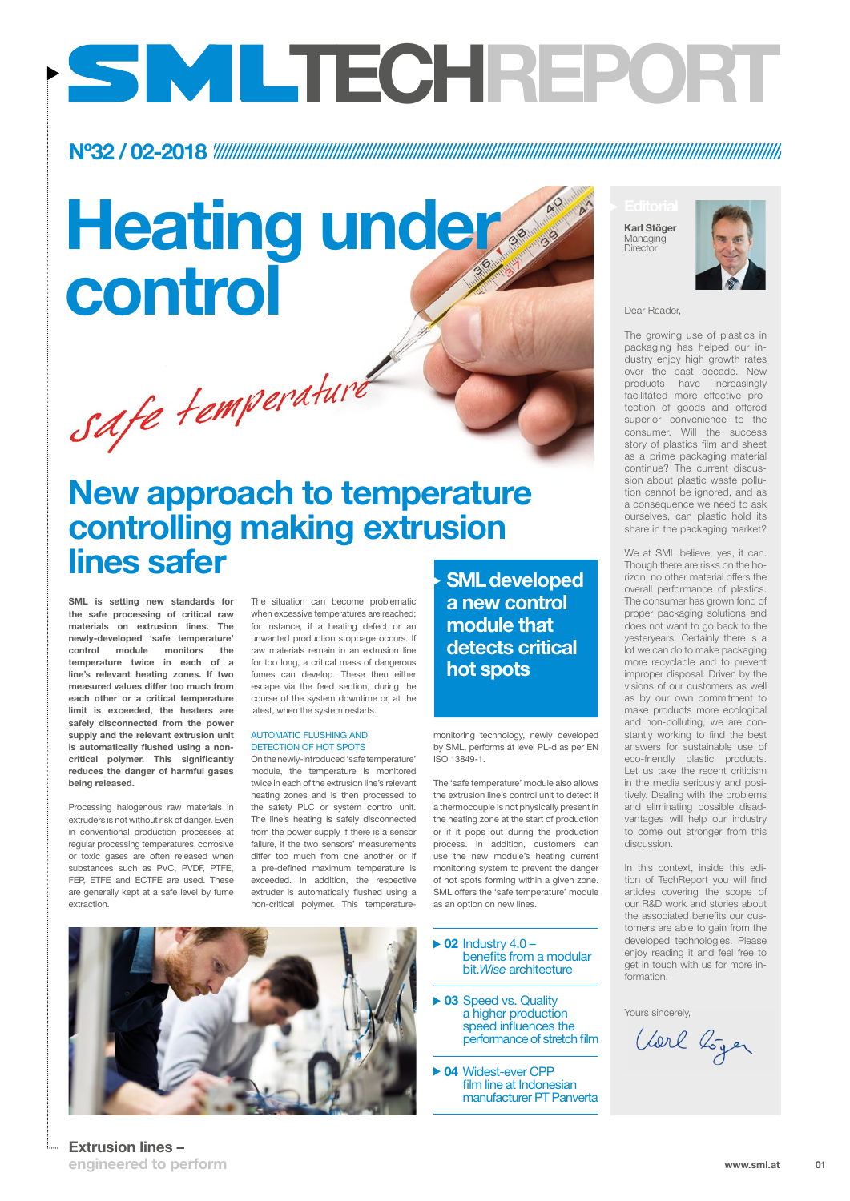## Extrusion lines –

# Heating under control dear Reader,

safe temperaturé

engineered to perform

The growing use of plastics in packaging has helped our industry enjoy high growth rates over the past decade. New products have increasingly facilitated more effective protection of goods and offered superior convenience to the consumer. Will the success story of plastics film and sheet as a prime packaging material continue? The current discussion about plastic waste pollution cannot be ignored, and as a consequence we need to ask ourselves, can plastic hold its share in the packaging market?

Karl Stöger Managing **Director** 



We at SML believe, yes, it can. Though there are risks on the horizon, no other material offers the overall performance of plastics. The consumer has grown fond of proper packaging solutions and does not want to go back to the yesteryears. Certainly there is a lot we can do to make packaging more recyclable and to prevent improper disposal. Driven by the visions of our customers as well as by our own commitment to make products more ecological and non-polluting, we are constantly working to find the best answers for sustainable use of eco-friendly plastic products. Let us take the recent criticism in the media seriously and positively. Dealing with the problems and eliminating possible disadvantages will help our industry to come out stronger from this discussion.

In this context, inside this edition of TechReport you will find articles covering the scope of our R&D work and stories about the associated benefits our customers are able to gain from the developed technologies. Please enjoy reading it and feel free to get in touch with us for more information.



Yours sincerely,

Vorl boyer

SML is setting new standards for the safe processing of critical raw materials on extrusion lines. The newly-developed 'safe temperature' control module monitors the temperature twice in each of a line's relevant heating zones. If two measured values differ too much from each other or a critical temperature limit is exceeded, the heaters are safely disconnected from the power supply and the relevant extrusion unit is automatically flushed using a noncritical polymer. This significantly reduces the danger of harmful gases being released.

> 01 www.sml.at

 $\triangleright$  02 Industry 4.0 – benefits from a modular bit.*Wise* architecture

▶ 03 Speed vs. Quality a higher production speed influences the performance of stretch film

▶ 04 Widest-ever CPP film line at Indonesian manufacturer PT Panverta

Processing halogenous raw materials in extruders is not without risk of danger. Even in conventional production processes at regular processing temperatures, corrosive or toxic gases are often released when substances such as PVC, PVDF, PTFE, FEP, ETFE and ECTFE are used. These are generally kept at a safe level by fume extraction.

The situation can become problematic when excessive temperatures are reached; for instance, if a heating defect or an unwanted production stoppage occurs. If raw materials remain in an extrusion line for too long, a critical mass of dangerous fumes can develop. These then either escape via the feed section, during the course of the system downtime or, at the latest, when the system restarts.

#### AUTOMATIC FLUSHING AND DETECTION OF HOT SPOTS

On the newly-introduced 'safe temperature' module, the temperature is monitored twice in each of the extrusion line's relevant heating zones and is then processed to the safety PLC or system control unit. The line's heating is safely disconnected from the power supply if there is a sensor failure, if the two sensors' measurements differ too much from one another or if a pre-defined maximum temperature is exceeded. In addition, the respective extruder is automatically flushed using a non-critical polymer. This temperatureas an option on new lines.

monitoring technology, newly developed by SML, performs at level PL-d as per EN ISO 13849-1.

The 'safe temperature' module also allows the extrusion line's control unit to detect if a thermocouple is not physically present in the heating zone at the start of production or if it pops out during the production process. In addition, customers can use the new module's heating current monitoring system to prevent the danger of hot spots forming within a given zone. SML offers the 'safe temperature' module

# Nº32 / 02-2018

# New approach to temperature controlling making extrusion lines safer

# TECHREPORT

SML developed a new control module that detects critical hot spots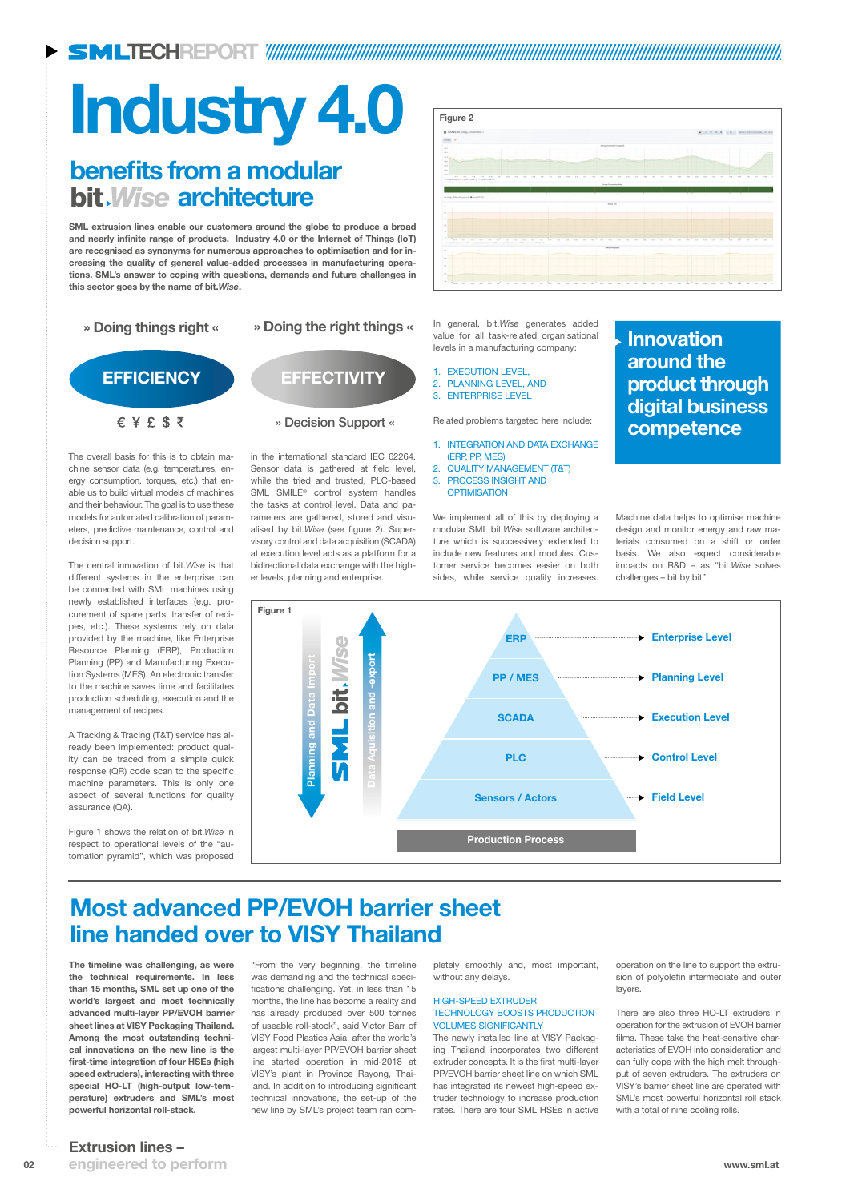TECHREPORT

The timeline was challenging, as were the technical requirements. In less than 15 months, SML set up one of the world's largest and most technically advanced multi-layer PP/EVOH barrier sheet lines at VISY Packaging Thailand. Among the most outstanding technical innovations on the new line is the first-time integration of four HSEs (high speed extruders), interacting with three special HO-LT (high-output low-temperature) extruders and SML's most powerful horizontal roll-stack.

"From the very beginning, the timeline was demanding and the technical specifications challenging. Yet, in less than 15 months, the line has become a reality and has already produced over 500 tonnes of useable roll-stock", said Victor Barr of VISY Food Plastics Asia, after the world's largest multi-layer PP/EVOH barrier sheet line started operation in mid-2018 at VISY's plant in Province Rayong, Thailand. In addition to introducing significant technical innovations, the set-up of the new line by SML's project team ran com-

02 www.sml.at engineered to perform Extrusion lines –

pletely smoothly and, most important, without any delays.

#### HIGH-SPEED EXTRUDER TECHNOLOGY BOOSTS PRODUCTION VOLUMES SIGNIFICANTLY

The newly installed line at VISY Packaging Thailand incorporates two different extruder concepts. It is the first multi-layer PP/EVOH barrier sheet line on which SML has integrated its newest high-speed extruder technology to increase production rates. There are four SML HSEs in active operation on the line to support the extrusion of polyolefin intermediate and outer layers.

There are also three HO-LT extruders in operation for the extrusion of EVOH barrier films. These take the heat-sensitive characteristics of EVOH into consideration and can fully cope with the high melt throughput of seven extruders. The extruders on VISY's barrier sheet line are operated with SML's most powerful horizontal roll stack with a total of nine cooling rolls.

## Most advanced PP/EVOH barrier sheet

# line handed over to VISY Thailand

# Industry 4.0

- 1. INTEGRATION AND DATA EXCHANGE (ERP, PP, MES)
- 2. QUALITY MANAGEMENT (T&T)
- 3. PROCESS INSIGHT AND **OPTIMISATION**

The overall basis for this is to obtain machine sensor data (e.g. temperatures, energy consumption, torques, etc.) that enable us to build virtual models of machines and their behaviour. The goal is to use these models for automated calibration of parameters, predictive maintenance, control and decision support.

# benefits from a modular bit *Wise* architecture

The central innovation of bit.*Wise* is that different systems in the enterprise can be connected with SML machines using newly established interfaces (e.g. procurement of spare parts, transfer of recipes, etc.). These systems rely on data provided by the machine, like Enterprise Resource Planning (ERP), Production Planning (PP) and Manufacturing Execution Systems (MES). An electronic transfer to the machine saves time and facilitates production scheduling, execution and the management of recipes.

A Tracking & Tracing (T&T) service has already been implemented: product quality can be traced from a simple quick response (QR) code scan to the specific machine parameters. This is only one aspect of several functions for quality assurance (QA).

Figure 1 shows the relation of bit.*Wise* in respect to operational levels of the "automation pyramid", which was proposed



in the international standard IEC 62264. Sensor data is gathered at field level, while the tried and trusted, PLC-based SML SMILE® control system handles the tasks at control level. Data and parameters are gathered, stored and visualised by bit.*Wise* (see figure 2). Supervisory control and data acquisition (SCADA) at execution level acts as a platform for a bidirectional data exchange with the higher levels, planning and enterprise.

SML extrusion lines enable our customers around the globe to produce a broad and nearly infinite range of products. Industry 4.0 or the Internet of Things (IoT) are recognised as synonyms for numerous approaches to optimisation and for increasing the quality of general value-added processes in manufacturing operations. SML's answer to coping with questions, demands and future challenges in this sector goes by the name of bit.*Wise*.



- 1. EXECUTION LEVEL,
- 2. PLANNING LEVEL, AND
- 3. ENTERPRISE LEVEL

Related problems targeted here include:

We implement all of this by deploying a modular SML bit.*Wise* software architecture which is successively extended to include new features and modules. Customer service becomes easier on both sides, while service quality increases.

Machine data helps to optimise machine design and monitor energy and raw materials consumed on a shift or order basis. We also expect considerable impacts on R&D – as "bit.*Wise* solves challenges – bit by bit".

Figure 2

# Innovation around the product through

digital business

competence

### » Doing things right « » Doing the right things «

# EFFICIENCY EFFECTIVITY  $E Y E S$

### » Decision Support «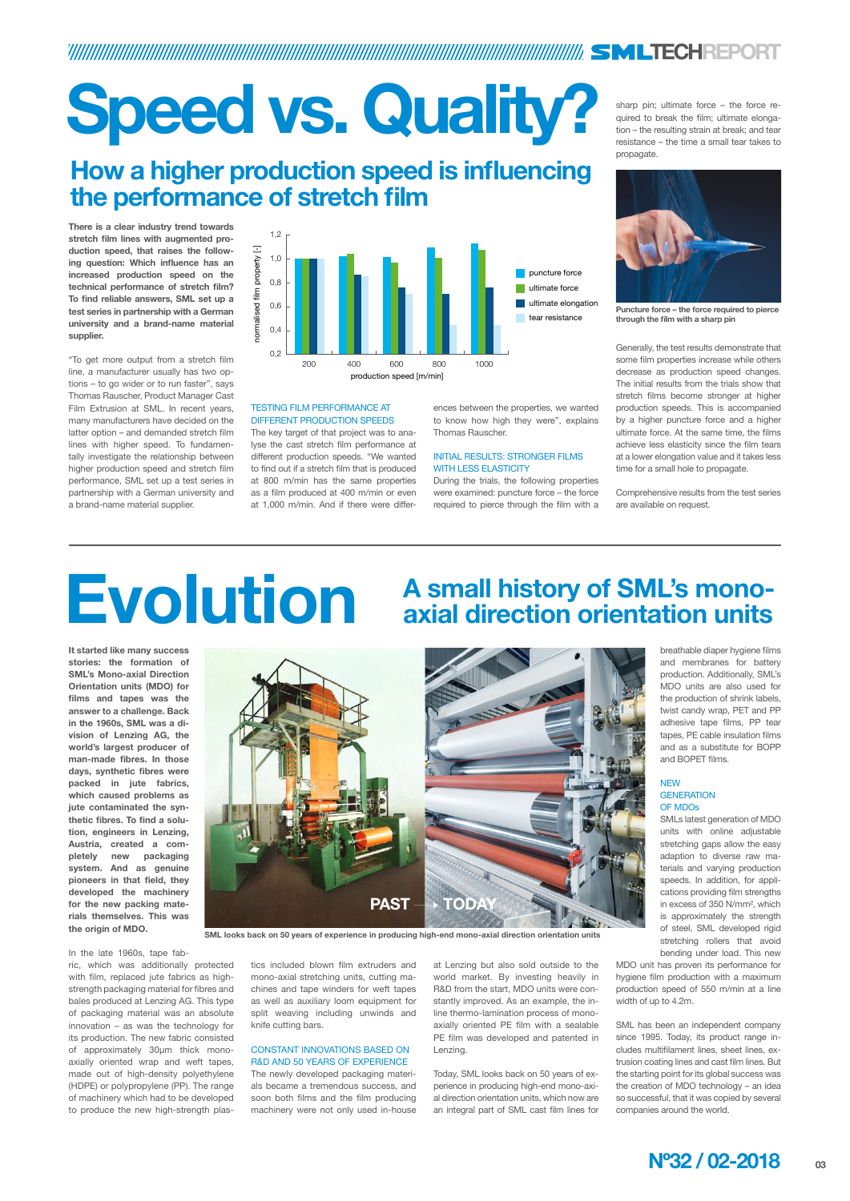

# TECHREPORT

# Speed vs. Quality?

It started like many success stories: the formation of SML's Mono-axial Direction Orientation units (MDO) for films and tapes was the answer to a challenge. Back in the 1960s, SML was a division of Lenzing AG, the world's largest producer of man-made fibres. In those days, synthetic fibres were packed in jute fabrics, which caused problems as jute contaminated the synthetic fibres. To find a solution, engineers in Lenzing, Austria, created a completely new packaging system. And as genuine pioneers in that field, they developed the machinery for the new packing materials themselves. This was the origin of MDO.

In the late 1960s, tape fab-

ric, which was additionally protected with film, replaced jute fabrics as highstrength packaging material for fibres and bales produced at Lenzing AG. This type of packaging material was an absolute innovation – as was the technology for its production. The new fabric consisted of approximately 30µm thick monoaxially oriented wrap and weft tapes, made out of high-density polyethylene (HDPE) or polypropylene (PP). The range of machinery which had to be developed to produce the new high-strength plas-

#### **NEW GENERATION** OF MDOs

tics included blown film extruders and mono-axial stretching units, cutting machines and tape winders for weft tapes as well as auxiliary loom equipment for split weaving including unwinds and knife cutting bars.

### CONSTANT INNOVATIONS BASED ON R&D AND 50 YEARS OF EXPERIENCE

The newly developed packaging materials became a tremendous success, and soon both films and the film producing machinery were not only used in-house

# **Evolution** A small history of SML's mono-<br>
axial direction orientation units axial direction orientation units

at Lenzing but also sold outside to the world market. By investing heavily in R&D from the start, MDO units were constantly improved. As an example, the inline thermo-lamination process of monoaxially oriented PE film with a sealable PE film was developed and patented in Lenzing.

Today, SML looks back on 50 years of experience in producing high-end mono-axial direction orientation units, which now are an integral part of SML cast film lines for breathable diaper hygiene films and membranes for battery production. Additionally, SML's MDO units are also used for the production of shrink labels, twist candy wrap, PET and PP adhesive tape films, PP tear tapes, PE cable insulation films and as a substitute for BOPP and BOPET films.

SMLs latest generation of MDO units with online adjustable stretching gaps allow the easy adaption to diverse raw materials and varying production speeds. In addition, for applications providing film strengths in excess of 350 N/mm², which is approximately the strength of steel, SML developed rigid stretching rollers that avoid bending under load. This new MDO unit has proven its performance for hygiene film production with a maximum production speed of 550 m/min at a line width of up to 4.2m.

SML has been an independent company since 1995. Today, its product range includes multifilament lines, sheet lines, extrusion coating lines and cast film lines. But the starting point for its global success was the creation of MDO technology – an idea so successful, that it was copied by several companies around the world.

SML looks back on 50 years of experience in producing high-end mono-axial direction orientation units



There is a clear industry trend towards stretch film lines with augmented production speed, that raises the following question: Which influence has an increased production speed on the technical performance of stretch film? To find reliable answers, SML set up a test series in partnership with a German university and a brand-name material supplier.

"To get more output from a stretch film line, a manufacturer usually has two options – to go wider or to run faster", says Thomas Rauscher, Product Manager Cast Film Extrusion at SML. In recent years, many manufacturers have decided on the latter option – and demanded stretch film lines with higher speed. To fundamentally investigate the relationship between higher production speed and stretch film performance, SML set up a test series in partnership with a German university and a brand-name material supplier.

#### TESTING FILM PERFORMANCE AT DIFFERENT PRODUCTION SPEEDS

The key target of that project was to analyse the cast stretch film performance at different production speeds. "We wanted to find out if a stretch film that is produced at 800 m/min has the same properties as a film produced at 400 m/min or even at 1,000 m/min. And if there were differ-

ences between the properties, we wanted to know how high they were", explains Thomas Rauscher.

#### INITIAL RESULTS: STRONGER FILMS WITH LESS ELASTICITY

During the trials, the following properties were examined: puncture force – the force required to pierce through the film with a

sharp pin; ultimate force – the force required to break the film; ultimate elongation – the resulting strain at break; and tear resistance – the time a small tear takes to propagate.

Generally, the test results demonstrate that some film properties increase while others decrease as production speed changes. The initial results from the trials show that stretch films become stronger at higher production speeds. This is accompanied by a higher puncture force and a higher ultimate force. At the same time, the films achieve less elasticity since the film tears at a lower elongation value and it takes less time for a small hole to propagate.

Comprehensive results from the test series are available on request.

# How a higher production speed is influencing the performance of stretch film





Puncture force – the force required to pierce through the film with a sharp pin